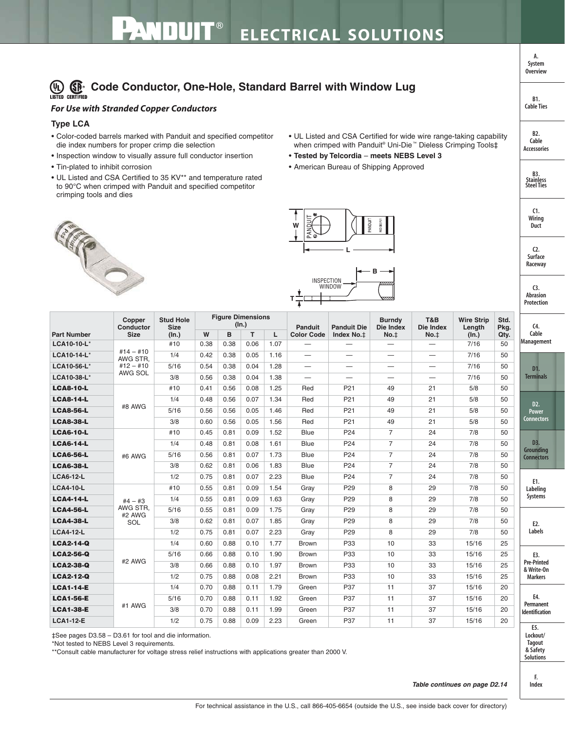## (D) **Code Conductor, One-Hole, Standard Barrel with Window Lug**

## *For Use with Stranded Copper Conductors*

## **Type LCA**

- Color-coded barrels marked with Panduit and specified competitor die index numbers for proper crimp die selection
- Inspection window to visually assure full conductor insertion
- Tin-plated to inhibit corrosion
- UL Listed and CSA Certified to 35 KV\*\* and temperature rated to 90°C when crimped with Panduit and specified competitor crimping tools and dies
- UL Listed and CSA Certified for wide wire range-taking capability when crimped with Panduit® Uni-Die<sup>™</sup> Dieless Crimping Tools‡
- **Tested by Telcordia meets NEBS Level 3**
- American Bureau of Shipping Approved







| <b>Part Number</b> | Copper<br>Conductor<br><b>Size</b>                | <b>Stud Hole</b><br><b>Size</b><br>(ln.) | <b>Figure Dimensions</b><br>(ln.) |      |      |      | Panduit                         | <b>Panduit Die</b>       | <b>Burndy</b><br>Die Index | T&B<br>Die Index         | <b>Wire Strip</b><br>Length | Std.<br>Pkg. | C <sub>4</sub>                                     |  |
|--------------------|---------------------------------------------------|------------------------------------------|-----------------------------------|------|------|------|---------------------------------|--------------------------|----------------------------|--------------------------|-----------------------------|--------------|----------------------------------------------------|--|
|                    |                                                   |                                          | W                                 | B    | T.   | L    | <b>Color Code</b>               | Index No.‡               | No. <sub>‡</sub>           | No. <sub>‡</sub>         | (In.)                       | Qty.         | Cable                                              |  |
| LCA10-10-L*        | $#14 - #10$<br>AWG STR,<br>$#12 - #10$<br>AWG SOL | #10                                      | 0.38                              | 0.38 | 0.06 | 1.07 |                                 |                          |                            |                          | 7/16                        | 50           | Management                                         |  |
| LCA10-14-L*        |                                                   | 1/4                                      | 0.42                              | 0.38 | 0.05 | 1.16 |                                 | $\overline{\phantom{0}}$ | $\overline{\phantom{m}}$   | $\overline{\phantom{m}}$ | 7/16                        | 50           |                                                    |  |
| LCA10-56-L*        |                                                   | 5/16                                     | 0.54                              | 0.38 | 0.04 | 1.28 | $\hspace{0.1mm}-\hspace{0.1mm}$ | —                        | $\overline{\phantom{0}}$   |                          | 7/16                        | 50           | D1.                                                |  |
| LCA10-38-L*        |                                                   | 3/8                                      | 0.56                              | 0.38 | 0.04 | 1.38 | $\overline{\phantom{0}}$        | $\overline{\phantom{0}}$ |                            | $\overline{\phantom{0}}$ | 7/16                        | 50           | <b>Terminals</b>                                   |  |
| <b>LCA8-10-L</b>   | #8 AWG                                            | #10                                      | 0.41                              | 0.56 | 0.08 | 1.25 | Red                             | P <sub>21</sub>          | 49                         | 21                       | 5/8                         | 50           |                                                    |  |
| <b>LCA8-14-L</b>   |                                                   | 1/4                                      | 0.48                              | 0.56 | 0.07 | 1.34 | Red                             | P <sub>21</sub>          | 49                         | 21                       | 5/8                         | 50           | D2.<br>Power                                       |  |
| <b>LCA8-56-L</b>   |                                                   | 5/16                                     | 0.56                              | 0.56 | 0.05 | 1.46 | Red                             | P <sub>21</sub>          | 49                         | 21                       | 5/8                         | 50           |                                                    |  |
| <b>LCA8-38-L</b>   |                                                   | 3/8                                      | 0.60                              | 0.56 | 0.05 | 1.56 | Red                             | P <sub>21</sub>          | 49                         | 21                       | 5/8                         | 50           | <b>Connectors</b>                                  |  |
| <b>LCA6-10-L</b>   | #6 AWG                                            | #10                                      | 0.45                              | 0.81 | 0.09 | 1.52 | <b>Blue</b>                     | P <sub>24</sub>          | $\overline{7}$             | 24                       | 7/8                         | 50           | D3.                                                |  |
| <b>LCA6-14-L</b>   |                                                   | 1/4                                      | 0.48                              | 0.81 | 0.08 | 1.61 | Blue                            | P <sub>24</sub>          | $\overline{7}$             | 24                       | 7/8                         | 50           |                                                    |  |
| <b>LCA6-56-L</b>   |                                                   | 5/16                                     | 0.56                              | 0.81 | 0.07 | 1.73 | Blue                            | P <sub>24</sub>          | $\overline{7}$             | 24                       | 7/8                         | 50           | Grounding<br><b>Connectors</b>                     |  |
| <b>LCA6-38-L</b>   |                                                   | 3/8                                      | 0.62                              | 0.81 | 0.06 | 1.83 | <b>Blue</b>                     | P <sub>24</sub>          | $\overline{7}$             | 24                       | 7/8                         | 50           |                                                    |  |
| <b>LCA6-12-L</b>   |                                                   | 1/2                                      | 0.75                              | 0.81 | 0.07 | 2.23 | Blue                            | P <sub>24</sub>          | $\overline{7}$             | 24                       | 7/8                         | 50           | E1.<br>Labeling                                    |  |
| <b>LCA4-10-L</b>   |                                                   | #10                                      | 0.55                              | 0.81 | 0.09 | 1.54 | Gray                            | P <sub>29</sub>          | 8                          | 29                       | 7/8                         | 50           |                                                    |  |
| <b>LCA4-14-L</b>   | $#4 - #3$                                         | 1/4                                      | 0.55                              | 0.81 | 0.09 | 1.63 | Gray                            | P <sub>29</sub>          | 8                          | 29                       | 7/8                         | 50           | Systems                                            |  |
| <b>LCA4-56-L</b>   | AWG STR.                                          | 5/16                                     | 0.55                              | 0.81 | 0.09 | 1.75 | Gray                            | P <sub>29</sub>          | 8                          | 29                       | 7/8                         | 50           |                                                    |  |
| <b>LCA4-38-L</b>   | #2 AWG<br>SOL                                     | 3/8                                      | 0.62                              | 0.81 | 0.07 | 1.85 | Gray                            | P <sub>29</sub>          | 8                          | 29                       | 7/8                         | 50           | E2.                                                |  |
| <b>LCA4-12-L</b>   |                                                   | 1/2                                      | 0.75                              | 0.81 | 0.07 | 2.23 | Gray                            | P <sub>29</sub>          | 8                          | 29                       | 7/8                         | 50           | <b>Labels</b>                                      |  |
| <b>LCA2-14-Q</b>   | #2 AWG                                            | 1/4                                      | 0.60                              | 0.88 | 0.10 | 1.77 | <b>Brown</b>                    | P33                      | 10                         | 33                       | 15/16                       | 25           |                                                    |  |
| <b>LCA2-56-Q</b>   |                                                   | 5/16                                     | 0.66                              | 0.88 | 0.10 | 1.90 | <b>Brown</b>                    | P33                      | 10                         | 33                       | 15/16                       | 25           | E3.                                                |  |
| <b>LCA2-38-Q</b>   |                                                   | 3/8                                      | 0.66                              | 0.88 | 0.10 | 1.97 | Brown                           | P33                      | 10                         | 33                       | 15/16                       | 25           | <b>Pre-Printed</b><br>& Write-On<br><b>Markers</b> |  |
| <b>LCA2-12-Q</b>   |                                                   | 1/2                                      | 0.75                              | 0.88 | 0.08 | 2.21 | <b>Brown</b>                    | P33                      | 10                         | 33                       | 15/16                       | 25           |                                                    |  |
| <b>LCA1-14-E</b>   | #1 AWG                                            | 1/4                                      | 0.70                              | 0.88 | 0.11 | 1.79 | Green                           | P37                      | 11                         | 37                       | 15/16                       | 20           |                                                    |  |
| <b>LCA1-56-E</b>   |                                                   | 5/16                                     | 0.70                              | 0.88 | 0.11 | 1.92 | Green                           | P37                      | 11                         | 37                       | 15/16                       | 20           | E4.                                                |  |
| <b>LCA1-38-E</b>   |                                                   | 3/8                                      | 0.70                              | 0.88 | 0.11 | 1.99 | Green                           | P37                      | 11                         | 37                       | 15/16                       | 20           | Permanent<br><b>Identification</b>                 |  |
| <b>LCA1-12-E</b>   |                                                   | 1/2                                      | 0.75                              | 0.88 | 0.09 | 2.23 | Green                           | P37                      | 11                         | 37                       | 15/16                       | 20           |                                                    |  |
|                    |                                                   |                                          |                                   |      |      |      |                                 |                          |                            |                          |                             |              | FF.                                                |  |

‡See pages D3.58 – D3.61 for tool and die information.

\*Not tested to NEBS Level 3 requirements.

\*\*Consult cable manufacturer for voltage stress relief instructions with applications greater than 2000 V.

**E5. Lockout/ Tagout & Safety Solutions**

**B2. Cable Accessories**

**B1. Cable Ties**

**A. System Overview**

> **C1. Wiring Duct**

**C2. Surface Raceway**

**B3. Stainless Steel Ties**

**C3. Abrasion Protection**

> **F. Index**

**Table continues on page D2.14**